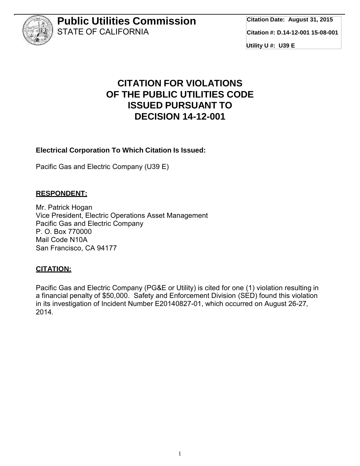

# **CITATION FOR VIOLATIONS OF THE PUBLIC UTILITIES CODE ISSUED PURSUANT TO DECISION 14-12-001**

#### **Electrical Corporation To Which Citation Is Issued:**

Pacific Gas and Electric Company (U39 E)

#### **RESPONDENT:**

Mr. Patrick Hogan Vice President, Electric Operations Asset Management Pacific Gas and Electric Company P. O. Box 770000 Mail Code N10A San Francisco, CA 94177

#### **CITATION:**

Pacific Gas and Electric Company (PG&E or Utility) is cited for one (1) violation resulting in a financial penalty of \$50,000. Safety and Enforcement Division (SED) found this violation in its investigation of Incident Number E20140827-01, which occurred on August 26-27*,* 2014*.*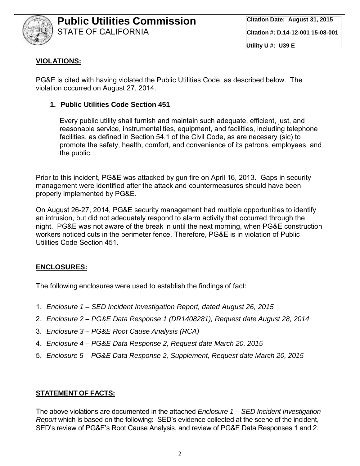

### **VIOLATIONS:**

PG&E is cited with having violated the Public Utilities Code, as described below. The violation occurred on August 27, 2014.

#### **1. Public Utilities Code Section 451**

Every public utility shall furnish and maintain such adequate, efficient, just, and reasonable service, instrumentalities, equipment, and facilities, including telephone facilities, as defined in Section 54.1 of the Civil Code, as are necesary (sic) to promote the safety, health, comfort, and convenience of its patrons, employees, and the public.

Prior to this incident, PG&E was attacked by gun fire on April 16, 2013. Gaps in security management were identified after the attack and countermeasures should have been properly implemented by PG&E.

On August 26-27, 2014, PG&E security management had multiple opportunities to identify an intrusion, but did not adequately respond to alarm activity that occurred through the night. PG&E was not aware of the break in until the next morning, when PG&E construction workers noticed cuts in the perimeter fence. Therefore, PG&E is in violation of Public Utilities Code Section 451.

### **ENCLOSURES:**

The following enclosures were used to establish the findings of fact:

- 1. *Enclosure 1 – SED Incident Investigation Report, dated August 26, 2015*
- 2. *Enclosure 2 – PG&E Data Response 1 (DR1408281), Request date August 28, 2014*
- 3. *Enclosure 3 – PG&E Root Cause Analysis (RCA)*
- 4. *Enclosure 4 – PG&E Data Response 2, Request date March 20, 2015*
- 5. *Enclosure 5 – PG&E Data Response 2, Supplement, Request date March 20, 2015*

#### **STATEMENT OF FACTS:**

The above violations are documented in the attached *Enclosure 1 – SED Incident Investigation Report* which is based on the following: SED's evidence collected at the scene of the incident, SED's review of PG&E's Root Cause Analysis, and review of PG&E Data Responses 1 and 2.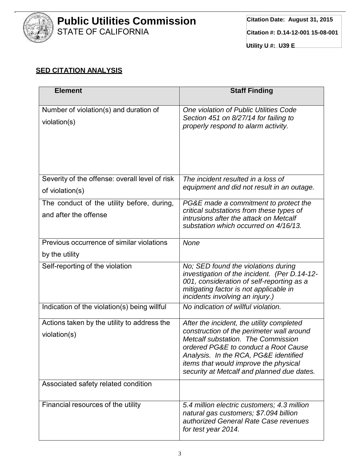

## **SED CITATION ANALYSIS**

| <b>Element</b>                                                      | <b>Staff Finding</b>                                                                                                                                                                                                                                                                                        |
|---------------------------------------------------------------------|-------------------------------------------------------------------------------------------------------------------------------------------------------------------------------------------------------------------------------------------------------------------------------------------------------------|
| Number of violation(s) and duration of<br>violation(s)              | One violation of Public Utilities Code<br>Section 451 on 8/27/14 for failing to<br>properly respond to alarm activity.                                                                                                                                                                                      |
| Severity of the offense: overall level of risk<br>of violation(s)   | The incident resulted in a loss of<br>equipment and did not result in an outage.                                                                                                                                                                                                                            |
| The conduct of the utility before, during,<br>and after the offense | PG&E made a commitment to protect the<br>critical substations from these types of<br>intrusions after the attack on Metcalf<br>substation which occurred on 4/16/13.                                                                                                                                        |
| Previous occurrence of similar violations                           | None                                                                                                                                                                                                                                                                                                        |
| by the utility                                                      |                                                                                                                                                                                                                                                                                                             |
| Self-reporting of the violation                                     | No; SED found the violations during<br>investigation of the incident. (Per D.14-12-<br>001, consideration of self-reporting as a<br>mitigating factor is not applicable in<br>incidents involving an injury.)                                                                                               |
| Indication of the violation(s) being willful                        | No indication of willful violation.                                                                                                                                                                                                                                                                         |
| Actions taken by the utility to address the<br>violation(s)         | After the incident, the utility completed<br>construction of the perimeter wall around<br>Metcalf substation. The Commission<br>ordered PG&E to conduct a Root Cause<br>Analysis. In the RCA, PG&E identified<br><i>items that would improve the physical</i><br>security at Metcalf and planned due dates. |
| Associated safety related condition                                 |                                                                                                                                                                                                                                                                                                             |
| Financial resources of the utility                                  | 5.4 million electric customers; 4.3 million<br>natural gas customers; \$7.094 billion<br>authorized General Rate Case revenues<br>for test year 2014.                                                                                                                                                       |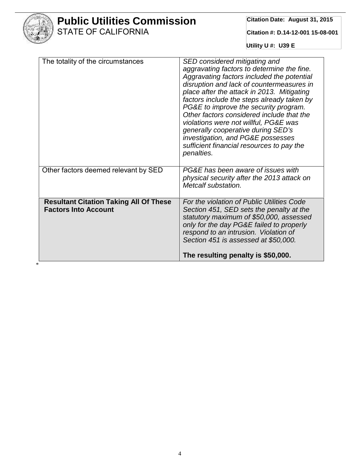

\*

# **Public Utilities Commission** STATE OF CALIFORNIA

**Citation Date: August 31, 2015**

**Citation #: D.14-12-001 15-08-001**

**Utility U #: U39 E**

| The totality of the circumstances                                            | SED considered mitigating and<br>aggravating factors to determine the fine.<br>Aggravating factors included the potential<br>disruption and lack of countermeasures in<br>place after the attack in 2013. Mitigating<br>factors include the steps already taken by<br>PG&E to improve the security program.<br>Other factors considered include that the<br>violations were not willful, PG&E was<br>generally cooperative during SED's<br>investigation, and PG&E possesses<br>sufficient financial resources to pay the<br>penalties. |  |
|------------------------------------------------------------------------------|-----------------------------------------------------------------------------------------------------------------------------------------------------------------------------------------------------------------------------------------------------------------------------------------------------------------------------------------------------------------------------------------------------------------------------------------------------------------------------------------------------------------------------------------|--|
| Other factors deemed relevant by SED                                         | PG&E has been aware of issues with<br>physical security after the 2013 attack on<br>Metcalf substation.                                                                                                                                                                                                                                                                                                                                                                                                                                 |  |
| <b>Resultant Citation Taking All Of These</b><br><b>Factors Into Account</b> | For the violation of Public Utilities Code<br>Section 451, SED sets the penalty at the<br>statutory maximum of \$50,000, assessed<br>only for the day PG&E failed to properly<br>respond to an intrusion. Violation of<br>Section 451 is assessed at \$50,000.<br>The resulting penalty is \$50,000.                                                                                                                                                                                                                                    |  |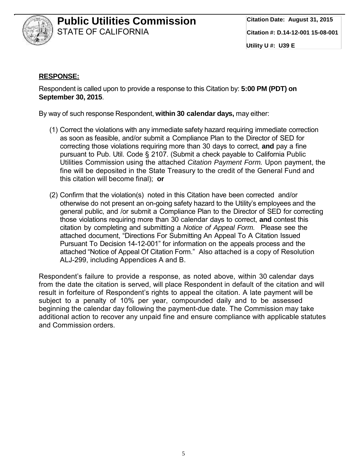

#### **RESPONSE:**

Respondent is called upon to provide a response to this Citation by: **5:00 PM (PDT) on September 30, 2015**.

By way of such response Respondent, **within 30 calendar days,** may either:

- (1) Correct the violations with any immediate safety hazard requiring immediate correction as soon as feasible, and/or submit a Compliance Plan to the Director of SED for correcting those violations requiring more than 30 days to correct, **and** pay a fine pursuant to Pub. Util. Code § 2107. (Submit a check payable to California Public Utilities Commission using the attached *Citation Payment Form.* Upon payment, the fine will be deposited in the State Treasury to the credit of the General Fund and this citation will become final); **or**
- (2) Confirm that the violation(s) noted in this Citation have been corrected and/or otherwise do not present an on-going safety hazard to the Utility's employees and the general public, and /or submit a Compliance Plan to the Director of SED for correcting those violations requiring more than 30 calendar days to correct, **and** contest this citation by completing and submitting a *Notice of Appeal Form*. Please see the attached document, "Directions For Submitting An Appeal To A Citation Issued Pursuant To Decision 14-12-001" for information on the appeals process and the attached "Notice of Appeal Of Citation Form." Also attached is a copy of Resolution ALJ-299, including Appendices A and B.

Respondent's failure to provide a response, as noted above, within 30 calendar days from the date the citation is served, will place Respondent in default of the citation and will result in forfeiture of Respondent's rights to appeal the citation. A late payment will be subject to a penalty of 10% per year, compounded daily and to be assessed beginning the calendar day following the payment-due date. The Commission may take additional action to recover any unpaid fine and ensure compliance with applicable statutes and Commission orders.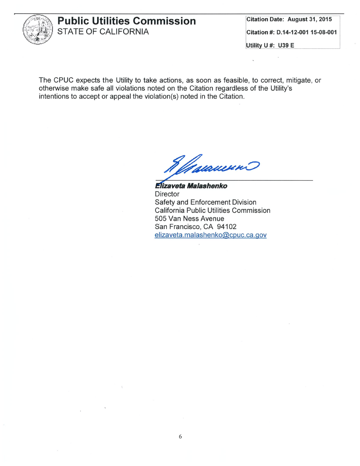

**Citation Date: August 31, 2015** Citation #: D.14-12-001 15-08-001

Utility U #: U39 E

 $\mathbf{a}$ 

The CPUC expects the Utility to take actions, as soon as feasible, to correct, mitigate, or otherwise make safe all violations noted on the Citation regardless of the Utility's intentions to accept or appeal the violation(s) noted in the Citation.

Maraueno

Elizaveta Malashenko **Director** Safety and Enforcement Division **California Public Utilities Commission** 505 Van Ness Avenue San Francisco, CA 94102 elizaveta.malashenko@cpuc.ca.gov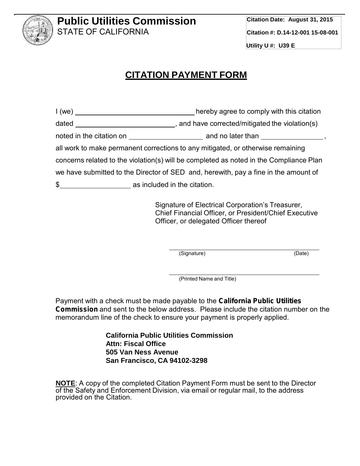

# **CITATION PAYMENT FORM**

|                                                                                        | hereby agree to comply with this citation                                                                                                                                                                                      |  |
|----------------------------------------------------------------------------------------|--------------------------------------------------------------------------------------------------------------------------------------------------------------------------------------------------------------------------------|--|
|                                                                                        |                                                                                                                                                                                                                                |  |
|                                                                                        | noted in the citation on electron contract and no later than electron contract of the contract of an electron contract of an electronic contract of the contract of an electronic contract of an electronic contract of an ele |  |
|                                                                                        | all work to make permanent corrections to any mitigated, or otherwise remaining                                                                                                                                                |  |
| concerns related to the violation(s) will be completed as noted in the Compliance Plan |                                                                                                                                                                                                                                |  |
| we have submitted to the Director of SED and, herewith, pay a fine in the amount of    |                                                                                                                                                                                                                                |  |
| \$ as included in the citation.                                                        |                                                                                                                                                                                                                                |  |
|                                                                                        |                                                                                                                                                                                                                                |  |

Signature of Electrical Corporation's Treasurer, Chief Financial Officer, or President/Chief Executive Officer, or delegated Officer thereof

(Signature) (Date)

(Printed Name and Title)

Payment with a check must be made payable to the *California Public Utilities Commission* and sent to the below address. Please include the citation number on the memorandum line of the check to ensure your payment is properly applied.

> **California Public Utilities Commission Attn: Fiscal Office 505 Van Ness Avenue San Francisco, CA 94102-3298**

**NOTE**: A copy of the completed Citation Payment Form must be sent to the Director of the Safety and Enforcement Division, via email or regular mail, to the address provided on the Citation.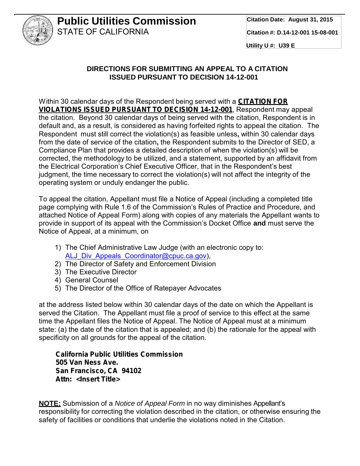

**Utility U #: U39 E**

### **DIRECTIONS FOR SUBMITTING AN APPEAL TO A CITATION ISSUED PURSUANT TO DECISION 14-12-001**

Within 30 calendar days of the Respondent being served with a *CITATION FOR VIOLATIONS ISSUED PURSUANT TO DECISION 14-12-001*, Respondent may appeal the citation. Beyond 30 calendar days of being served with the citation, Respondent is in default and, as a result, is considered as having forfeited rights to appeal the citation. The Respondent must still correct the violation(s) as feasible unless**,** within 30 calendar days from the date of service of the citation**,** the Respondent submits to the Director of SED, a Compliance Plan that provides a detailed description of when the violation(s) will be corrected, the methodology to be utilized, and a statement, supported by an affidavit from the Electrical Corporation's Chief Executive Officer, that in the Respondent's best judgment, the time necessary to correct the violation(s) will not affect the integrity of the operating system or unduly endanger the public.

To appeal the citation, Appellant must file a Notice of Appeal (including a completed title page complying with Rule 1.6 of the Commission's Rules of Practice and Procedure, and attached Notice of Appeal Form) along with copies of any materials the Appellant wants to provide in support of its appeal with the Commission's Docket Office **and** must serve the Notice of Appeal, at a minimum, on

- 1) The Chief Administrative Law Judge (with an electronic copy to: ALJ\_Div\_Appeals\_Coordinator@cpuc.ca.gov),
- 2) The Director of Safety and Enforcement Division
- 3) The Executive Director
- 4) General Counsel
- 5) The Director of the Office of Ratepayer Advocates

at the address listed below within 30 calendar days of the date on which the Appellant is served the Citation. The Appellant must file a proof of service to this effect at the same time the Appellant files the Notice of Appeal. The Notice of Appeal must at a minimum state: (a) the date of the citation that is appealed; and (b) the rationale for the appeal with specificity on all grounds for the appeal of the citation.

*California Public Utilities Commission 505 Van Ness Ave. San Francisco, CA 94102 Attn: <Insert Title>*

**NOTE:** Submission of a *Notice of Appeal Form* in no way diminishes Appellant's responsibility for correcting the violation described in the citation, or otherwise ensuring the safety of facilities or conditions that underlie the violations noted in the Citation.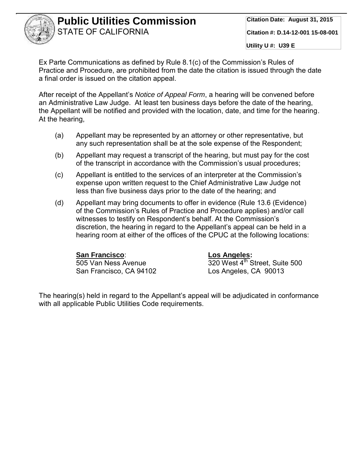

**Utility U #: U39 E**

Ex Parte Communications as defined by Rule 8.1(c) of the Commission's Rules of Practice and Procedure, are prohibited from the date the citation is issued through the date a final order is issued on the citation appeal.

After receipt of the Appellant's *Notice of Appeal Form*, a hearing will be convened before an Administrative Law Judge. At least ten business days before the date of the hearing, the Appellant will be notified and provided with the location, date, and time for the hearing. At the hearing,

- (a) Appellant may be represented by an attorney or other representative, but any such representation shall be at the sole expense of the Respondent;
- (b) Appellant may request a transcript of the hearing, but must pay for the cost of the transcript in accordance with the Commission's usual procedures;
- (c) Appellant is entitled to the services of an interpreter at the Commission's expense upon written request to the Chief Administrative Law Judge not less than five business days prior to the date of the hearing; and
- (d) Appellant may bring documents to offer in evidence (Rule 13.6 (Evidence) of the Commission's Rules of Practice and Procedure applies) and/or call witnesses to testify on Respondent's behalf. At the Commission's discretion, the hearing in regard to the Appellant's appeal can be held in a hearing room at either of the offices of the CPUC at the following locations:

**San Francisco**: **Los Angeles:** San Francisco, CA 94102 Los Angeles, CA 90013

320 West 4<sup>th</sup> Street, Suite 500

The hearing(s) held in regard to the Appellant's appeal will be adjudicated in conformance with all applicable Public Utilities Code requirements.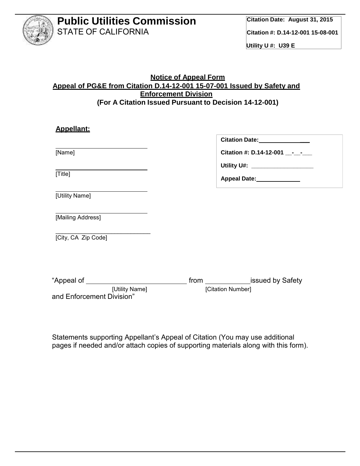

#### **Notice of Appeal Form Appeal of PG&E from Citation D.14-12-001 15-07-001 Issued by Safety and Enforcement Division (For A Citation Issued Pursuant to Decision 14-12-001)**

| Citation Date: 1988                |
|------------------------------------|
| Citation #: D.14-12-001 - -        |
| Utility U#: ______________________ |
| Appeal Date:______________         |
|                                    |
|                                    |
|                                    |
|                                    |
|                                    |
| [Citation Number]                  |
|                                    |

Statements supporting Appellant's Appeal of Citation (You may use additional pages if needed and/or attach copies of supporting materials along with this form).